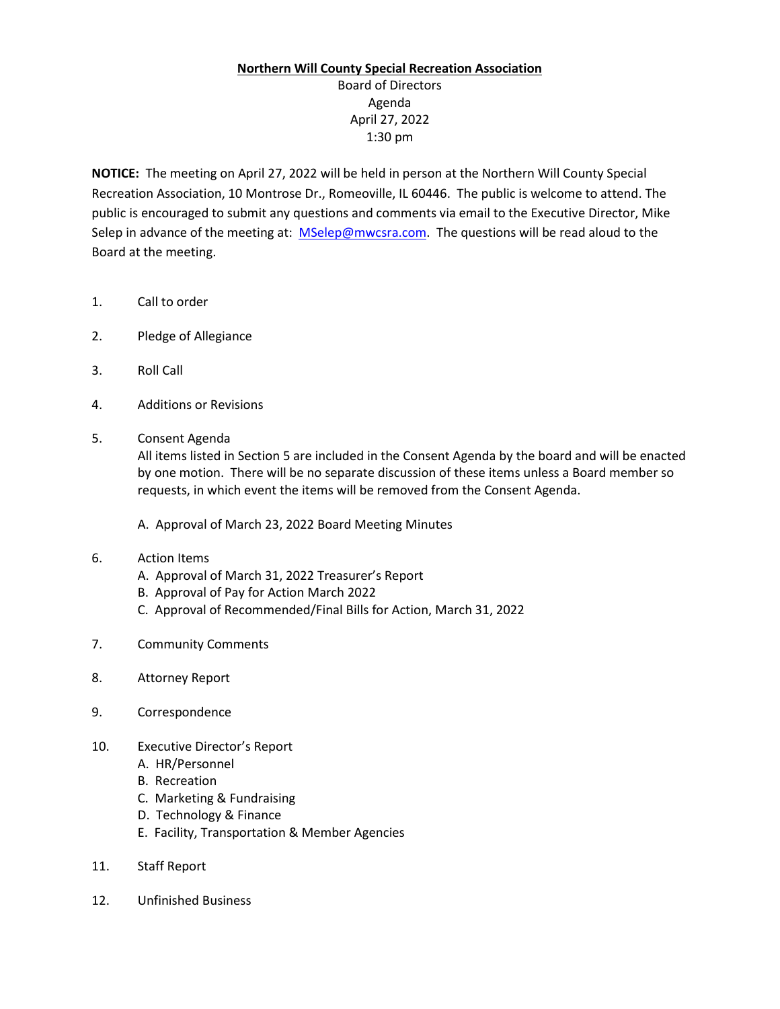## **Northern Will County Special Recreation Association**

Board of Directors Agenda April 27, 2022 1:30 pm

**NOTICE:** The meeting on April 27, 2022 will be held in person at the Northern Will County Special Recreation Association, 10 Montrose Dr., Romeoville, IL 60446. The public is welcome to attend. The public is encouraged to submit any questions and comments via email to the Executive Director, Mike Selep in advance of the meeting at: [MSelep@mwcsra.com.](mailto:MSelep@mwcsra.com) The questions will be read aloud to the Board at the meeting.

- 1. Call to order
- 2. Pledge of Allegiance
- 3. Roll Call
- 4. Additions or Revisions
- 5. Consent Agenda

All items listed in Section 5 are included in the Consent Agenda by the board and will be enacted by one motion. There will be no separate discussion of these items unless a Board member so requests, in which event the items will be removed from the Consent Agenda.

A. Approval of March 23, 2022 Board Meeting Minutes

## 6. Action Items

- A. Approval of March 31, 2022 Treasurer's Report
- B. Approval of Pay for Action March 2022
- C. Approval of Recommended/Final Bills for Action, March 31, 2022
- 7. Community Comments
- 8. Attorney Report
- 9. Correspondence
- 10. Executive Director's Report
	- A. HR/Personnel
	- B. Recreation
	- C. Marketing & Fundraising
	- D. Technology & Finance
	- E. Facility, Transportation & Member Agencies
- 11. Staff Report
- 12. Unfinished Business